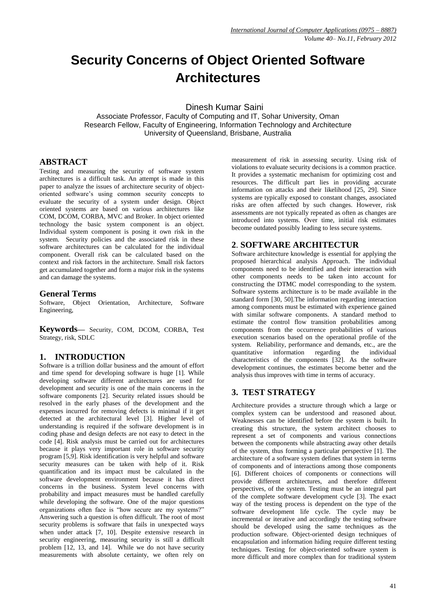# **Security Concerns of Object Oriented Software Architectures**

Dinesh Kumar Saini

Associate Professor, Faculty of Computing and IT, Sohar University, Oman Research Fellow, Faculty of Engineering, Information Technology and Architecture University of Queensland, Brisbane, Australia

## **ABSTRACT**

Testing and measuring the security of software system architectures is a difficult task. An attempt is made in this paper to analyze the issues of architecture security of objectoriented software's using common security concepts to evaluate the security of a system under design. Object oriented systems are based on various architectures like COM, DCOM, CORBA, MVC and Broker. In object oriented technology the basic system component is an object. Individual system component is posing it own risk in the system. Security policies and the associated risk in these software architectures can be calculated for the individual component. Overall risk can be calculated based on the context and risk factors in the architecture. Small risk factors get accumulated together and form a major risk in the systems and can damage the systems.

## **General Terms**

Software, Object Orientation, Architecture, Software Engineering,

**Keywords—** Security, COM, DCOM, CORBA, Test Strategy, risk, SDLC

# **1. INTRODUCTION**

Software is a trillion dollar business and the amount of effort and time spend for developing software is huge [1]. While developing software different architectures are used for development and security is one of the main concerns in the software components [2]. Security related issues should be resolved in the early phases of the development and the expenses incurred for removing defects is minimal if it get detected at the architectural level [3]. Higher level of understanding is required if the software development is in coding phase and design defects are not easy to detect in the code [4]. Risk analysis must be carried out for architectures because it plays very important role in software security program [5,9]. Risk identification is very helpful and software security measures can be taken with help of it. Risk quantification and its impact must be calculated in the software development environment because it has direct concerns in the business. System level concerns with probability and impact measures must be handled carefully while developing the software. One of the major questions organizations often face is "how secure are my systems?" Answering such a question is often difficult. The root of most security problems is software that fails in unexpected ways when under attack [7, 10]. Despite extensive research in security engineering, measuring security is still a difficult problem [12, 13, and 14]. While we do not have security measurements with absolute certainty, we often rely on

measurement of risk in assessing security. Using risk of violations to evaluate security decisions is a common practice. It provides a systematic mechanism for optimizing cost and resources. The difficult part lies in providing accurate information on attacks and their likelihood [25, 29]. Since systems are typically exposed to constant changes, associated risks are often affected by such changes. However, risk assessments are not typically repeated as often as changes are introduced into systems. Over time, initial risk estimates become outdated possibly leading to less secure systems.

## **2**. **SOFTWARE ARCHITECTUR**

Software architecture knowledge is essential for applying the proposed hierarchical analysis Approach. The individual components need to be identified and their interaction with other components needs to be taken into account for constructing the DTMC model corresponding to the system. Software systems architecture is to be made available in the standard form [30, 50].The information regarding interaction among components must be estimated with experience gained with similar software components. A standard method to estimate the control flow transition probabilities among components from the occurrence probabilities of various execution scenarios based on the operational profile of the system. Reliability, performance and demands, etc., are the quantitative information regarding the individual characteristics of the components [32]. As the software development continues, the estimates become better and the analysis thus improves with time in terms of accuracy.

# **3. TEST STRATEGY**

Architecture provides a structure through which a large or complex system can be understood and reasoned about. Weaknesses can be identified before the system is built. In creating this structure, the system architect chooses to represent a set of components and various connections between the components while abstracting away other details of the system, thus forming a particular perspective [1]. The architecture of a software system defines that system in terms of components and of interactions among those components [6]. Different choices of components or connections will provide different architectures, and therefore different perspectives, of the system. Testing must be an integral part of the complete software development cycle [3]. The exact way of the testing process is dependent on the type of the software development life cycle. The cycle may be incremental or iterative and accordingly the testing software should be developed using the same techniques as the production software. Object-oriented design techniques of encapsulation and information hiding require different testing techniques. Testing for object-oriented software system is more difficult and more complex than for traditional system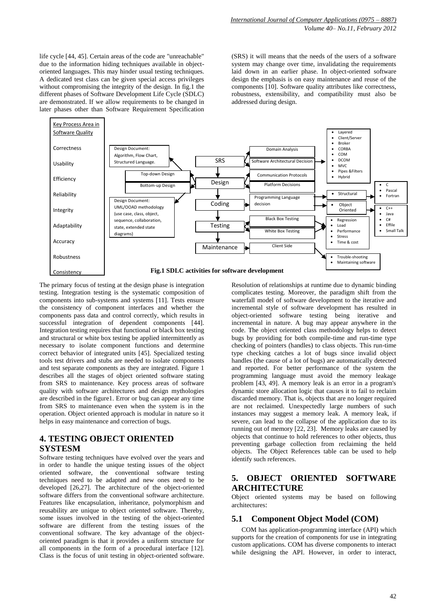life cycle [44, 45]. Certain areas of the code are "unreachable" due to the information hiding techniques available in objectoriented languages. This may hinder usual testing techniques. A dedicated test class can be given special access privileges without compromising the integrity of the design. In fig.1 the different phases of Software Development Life Cycle (SDLC) are demonstrated. If we allow requirements to be changed in later phases other than Software Requirement Specification (SRS) it will means that the needs of the users of a software system may change over time, invalidating the requirements laid down in an earlier phase. In object-oriented software design the emphasis is on easy maintenance and reuse of the components [10]. Software quality attributes like correctness, robustness, extensibility, and compatibility must also be addressed during design.



The primary focus of testing at the design phase is integration The primary focus of testing at the design phase is integration<br>testing. Integration testing is the systematic composition of components into sub-systems and systems [11]. Tests ensure the consistency of component interfaces and whether the components pass data and control correctly, which results in successful integration of dependent components [44]. Integration testing requires that functional or black box testing and structural or white box testing be applied intermittently as necessary to isolate component functions and determine correct behavior of integrated units [45]. Specialized testing tools test drivers and stubs are needed to isolate components and test separate components as they are integrated. Figure 1 describes all the stages of object oriented software stating from SRS to maintenance. Key process areas of software quality with software architectures and design mythologies are described in the figure1. Error or bug can appear any time from SRS to maintenance even when the system is in the operation. Object oriented approach is modular in nature so it helps in easy maintenance and correction of bugs.

# **4. TESTING OBJECT ORIENTED SYSTESM**

Software testing techniques have evolved over the years and in order to handle the unique testing issues of the object oriented software, the conventional software testing techniques need to be adapted and new ones need to be developed [26,27]. The architecture of the object-oriented software differs from the conventional software architecture. Features like encapsulation, inheritance, polymorphism and reusability are unique to object oriented software. Thereby, some issues involved in the testing of the object-oriented software are different from the testing issues of the conventional software. The key advantage of the objectoriented paradigm is that it provides a uniform structure for all components in the form of a procedural interface [12]. Class is the focus of unit testing in object-oriented software. Resolution of relationships at runtime due to dynamic binding complicates testing. Moreover, the paradigm shift from the waterfall model of software development to the iterative and incremental style of software development has resulted in object-oriented software testing being iterative and incremental in nature. A bug may appear anywhere in the code. The object oriented class methodology helps to detect bugs by providing for both compile-time and run-time type checking of pointers (handles) to class objects. This run-time type checking catches a lot of bugs since invalid object handles (the cause of a lot of bugs) are automatically detected and reported. For better performance of the system the programming language must avoid the memory leakage problem [43, 49]. A memory leak is an error in a program's dynamic store allocation logic that causes it to fail to reclaim discarded memory. That is, objects that are no longer required are not reclaimed. Unexpectedly large numbers of such instances may suggest a memory leak. A memory leak, if severe, can lead to the collapse of the application due to its running out of memory [22, 23]. Memory leaks are caused by objects that continue to hold references to other objects, thus preventing garbage collection from reclaiming the held objects. The Object References table can be used to help identify such references.

#### **5. OBJECT ORIENTED SOFTWARE ARCHITECTURE**

Object oriented systems may be based on following architectures:

#### **5.1 Component Object Model (COM)**

COM has application-programming interface (API) which supports for the creation of components for use in integrating custom applications. COM has diverse components to interact while designing the API. However, in order to interact,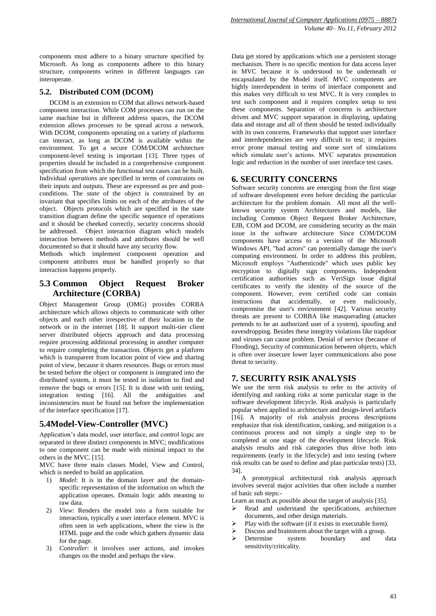components must adhere to a binary structure specified by Microsoft. As long as components adhere to this binary structure, components written in different languages can interoperate.

#### **5.2. Distributed COM (DCOM)**

DCOM is an extension to COM that allows network-based component interaction. While COM processes can run on the same machine but in different address spaces, the DCOM extension allows processes to be spread across a network. With DCOM, components operating on a variety of platforms can interact, as long as DCOM is available within the environment. To get a secure COM/DCOM architecture component-level testing is important [13]. Three types of properties should be included in a comprehensive component specification from which the functional test cases can be built. Individual *operations* are specified in terms of constraints on their inputs and outputs. These are expressed as pre and postconditions. The *state* of the object is constrained by an invariant that specifies limits on each of the attributes of the object. Objects protocols which are specified in the state transition diagram define the specific sequence of operations and it should be cheeked correctly, security concerns should be addressed. Object interaction diagram which models interaction between methods and attributes should be well documented so that it should have any security flow.

Methods which implement component operation and component attributes must be handled properly so that interaction happens properly.

#### **5.3 Common Object Request Broker Architecture (CORBA)**

Object Management Group (OMG) provides CORBA architecture which allows objects to communicate with other objects and each other irrespective of their location in the network or in the internet [18]. It support multi-tier client server distributed objects approach and data processing require processing additional processing in another computer to require completing the transaction. Objects get a platform which is transparent from location point of view and sharing point of view, because it shares resources. Bugs or errors must be tested before the object or component is integrated into the distributed system, it must be tested in isolation to find and remove the bugs or errors [15]. It is done with unit testing, integration testing [16]. All the ambiguities and inconsistencies must be found out before the implementation of the interface specification [17].

#### **5.4Model-View-Controller (MVC)**

Application's data model, user interface, and control logic are separated in three distinct components in MVC; modifications to one component can be made with minimal impact to the others in the MVC. [15].

MVC have three main classes Model, View and Control, which is needed to build an application.

- 1) *Model*: It is in the domain layer and the domainspecific representation of the information on which the application operates. Domain logic adds meaning to raw data.
- 2) *View*: Renders the model into a form suitable for interaction, typically a user interface element. MVC is often seen in web applications, where the view is the HTML page and the code which gathers dynamic data for the page.
- 3) *Controller*: it involves user actions, and invokes changes on the model and perhaps the view.

Data get stored by applications which use a persistent storage mechanism. There is no specific mention for data access layer in MVC because it is understood to be underneath or encapsulated by the Model itself. MVC components are highly interdependent in terms of interface component and this makes very difficult to test MVC. It is very complex to test such component and it requires complex setup to test these components. Separation of concerns is architecture driven and MVC support separation in displaying, updating data and storage and all of them should be tested individually with its own concerns. Frameworks that support user interface and interdependencies are very difficult to test; it requires error prone manual testing and some sort of simulations which simulate user's actions. MVC separates presentation logic and reduction in the number of user interface test cases.

#### **6. SECURITY CONCERNS**

Software security concerns are emerging from the first stage of software development even before deciding the particular architecture for the problem domain. All most all the wellknown security system Architectures and models, like including Common Object Request Broker Architecture, EJB, COM and DCOM, are considering security as the main issue in the software architecture Since COM/DCOM components have access to a version of the Microsoft Windows API, "bad actors" can potentially damage the user's computing environment. In order to address this problem, Microsoft employs "Authenticode" which uses public key encryption to digitally sign components. Independent certification authorities such as VeriSign issue digital certificates to verify the identity of the source of the component. However, even certified code can contain instructions that accidentally, or even maliciously, compromise the user's environment [42]. Various security threats are present to CORBA like masquerading (attacker pretends to be an authorized user of a system), spoofing and eavesdropping. Besides these integrity violations like trapdoor and viruses can cause problem. Denial of service (because of Flooding), Security of communication between objects, which is often over insecure lower layer communications also pose threat to security.

#### **7. SECURITY RSIK ANALYSIS**

We use the term risk analysis to refer to the activity of identifying and ranking risks at some particular stage in the software development lifecycle. Risk analysis is particularly popular when applied to architecture and design-level artifacts [16]. A majority of risk analysis process descriptions emphasize that risk identification, ranking, and mitigation is a continuous process and not simply a single step to be completed at one stage of the development lifecycle. Risk analysis results and risk categories thus drive both into requirements (early in the lifecycle) and into testing (where risk results can be used to define and plan particular tests) [33, 34].

A prototypical architectural risk analysis approach involves several major activities that often include a number of basic sub steps:-

Learn as much as possible about the target of analysis [35].

- Read and understand the specifications, architecture documents, and other design materials.
- $\triangleright$  Play with the software (if it exists in executable form).
- Discuss and brainstorm about the target with a group.
- > Determine system boundary and data sensitivity/criticality.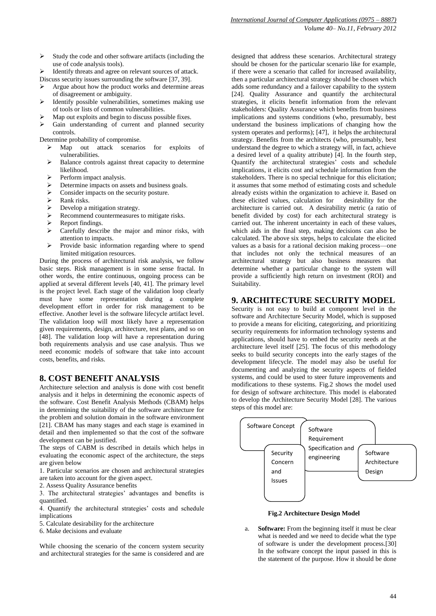- *International Journal of Computer Applications (0975 – 8887) Volume 40– No.11, February 2012*
- $\triangleright$  Study the code and other software artifacts (including the use of code analysis tools).
- Identify threats and agree on relevant sources of attack. Discuss security issues surrounding the software [37, 39].
- $\triangleright$  Argue about how the product works and determine areas
- of disagreement or ambiguity.
- Identify possible vulnerabilities, sometimes making use of tools or lists of common vulnerabilities.
- Map out exploits and begin to discuss possible fixes.
- Gain understanding of current and planned security control[s.](javascript:popUp()
- Determine probability of compromise.
	- Map out attack scenarios for exploits of vulnerabilities.
	- $\triangleright$  Balance controls against threat capacity to determine likelihood.
	- Perform impact analysis.
	- Determine impacts on assets and business goals.
	- $\triangleright$  Consider impacts on the security posture.
	- Rank risks.
	- Develop a mitigation strategy.
	- Recommend countermeasures to mitigate risks.
	- Report findings.
	- $\triangleright$  Carefully describe the major and minor risks, with attention to impacts.
	- $\triangleright$  Provide basic information regarding where to spend limited mitigation resources.

During the process of architectural risk analysis, we follow basic steps. Risk management is in some sense fractal. In other words, the entire continuous, ongoing process can be applied at several different levels [40, 41]. The primary level is the project level. Each stage of the validation loop clearly must have some representation during a complete development effort in order for risk management to be effective. Another level is the software lifecycle artifact level. The validation loop will most likely have a representation given requirements, design, architecture, test plans, and so on [48]. The validation loop will have a representation during both requirements analysis and use case analysis. Thus we need economic models of software that take into account costs, benefits, and risks.

# **8. COST BENEFIT ANALYSIS**

Architecture selection and analysis is done with cost benefit analysis and it helps in determining the economic aspects of the software. Cost Benefit Analysis Methods (CBAM) helps in determining the suitability of the software architecture for the problem and solution domain in the software environment [21]. CBAM has many stages and each stage is examined in detail and then implemented so that the cost of the software development can be justified.

The steps of CABM is described in details which helps in evaluating the economic aspect of the architecture, the steps are given below

1. Particular scenarios are chosen and architectural strategies are taken into account for the given aspect.

2. Assess Quality Assurance benefits

3. The architectural strategies' advantages and benefits is quantified.

4. Quantify the architectural strategies' costs and schedule implications

5. Calculate desirability for the architecture

6. Make decisions and evaluate

While choosing the scenario of the concern system security and architectural strategies for the same is considered and are designed that address these scenarios. Architectural strategy should be chosen for the particular scenario like for example, if there were a scenario that called for increased availability, then a particular architectural strategy should be chosen which adds some redundancy and a failover capability to the system [24]. Quality Assurance and quantify the architectural strategies, it elicits benefit information from the relevant stakeholders: Quality Assurance which benefits from business implications and systems conditions (who, presumably, best understand the business implications of changing how the system operates and performs); [47], it helps the architectural strategy. Benefits from the architects (who, presumably, best understand the degree to which a strategy will, in fact, achieve a desired level of a quality attribute) [4]. In the fourth step, Quantify the architectural strategies' costs and schedule implications, it elicits cost and schedule information from the stakeholders. There is no special technique for this elicitation; it assumes that some method of estimating costs and schedule already exists within the organization to achieve it. Based on these elicited values, calculation for desirability for the architecture is carried out. A desirability metric (a ratio of benefit divided by cost) for each architectural strategy is carried out. The inherent uncertainty in each of these values, which aids in the final step, making decisions can also be calculated. The above six steps, helps to calculate the elicited values as a basis for a rational decision making process—one that includes not only the technical measures of an architectural strategy but also business measures that determine whether a particular change to the system will provide a sufficiently high return on investment (ROI) and Suitability.

# **9. ARCHITECTURE SECURITY MODEL**

Security is not easy to build at component level in the software and Architecture Security Model, which is supposed to provide a means for eliciting, categorizing, and prioritizing security requirements for information technology systems and applications, should have to embed the security needs at the architecture level itself [25]. The focus of this methodology seeks to build security concepts into the early stages of the development lifecycle. The model may also be useful for documenting and analyzing the security aspects of fielded systems, and could be used to steer future improvements and modifications to these systems. Fig.2 shows the model used for design of software architecture. This model is elaborated to develop the Architecture Security Model [28]. The various steps of this model are:



**Fig.2 Architecture Design Model**

a. **Software:** From the beginning itself it must be clear what is needed and we need to decide what the type of software is under the development process.[30] In the software concept the input passed in this is the statement of the purpose. How it should be done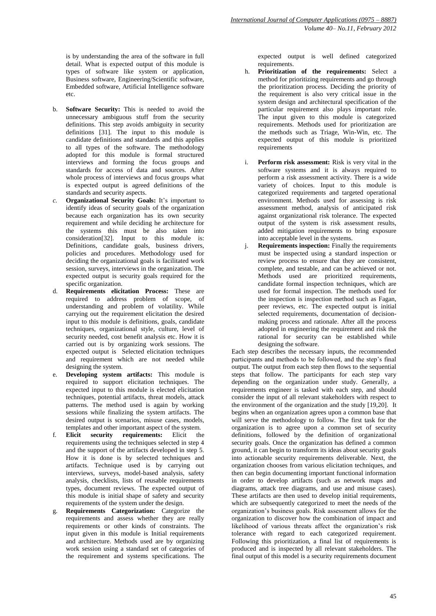is by understanding the area of the software in full detail. What is expected output of this module is types of software like system or application, Business software, Engineering/Scientific software, Embedded software, Artificial Intelligence software etc.

- b. **Software Security:** This is needed to avoid the unnecessary ambiguous stuff from the security definitions. This step avoids ambiguity in security definitions [31]. The input to this module is candidate definitions and standards and this applies to all types of the software. The methodology adopted for this module is formal structured interviews and forming the focus groups and standards for access of data and sources. After whole process of interviews and focus groups what is expected output is agreed definitions of the standards and security aspects.
- *c.* **Organizational Security Goals:** It's important to identify ideas of security goals of the organization because each organization has its own security requirement and while deciding he architecture for the systems this must be also taken into consideration[32]. Input to this module is: Definitions, candidate goals, business drivers, policies and procedures. Methodology used for deciding the organizational goals is facilitated work session, surveys, interviews in the organization. The expected output is security goals required for the specific organization.
- d. **Requirements elicitation Process:** These are required to address problem of scope, of understanding and problem of volatility. While carrying out the requirement elicitation the desired input to this module is definitions, goals, candidate techniques, organizational style, culture, level of security needed, cost benefit analysis etc. How it is carried out is by organizing work sessions. The expected output is Selected elicitation techniques and requirement which are not needed while designing the system.
- e. **Developing system artifacts:** This module is required to support elicitation techniques. The expected input to this module is elected elicitation techniques, potential artifacts, threat models, attack patterns. The method used is again by working sessions while finalizing the system artifacts. The desired output is scenarios, misuse cases, models, templates and other important aspect of the system.
- f. **Elicit security requirements:** Elicit the requirements using the techniques selected in step 4 and the support of the artifacts developed in step 5. How it is done is by selected techniques and artifacts. Technique used is by carrying out interviews, surveys, model-based analysis, safety analysis, checklists, lists of reusable requirements types, document reviews. The expected output of this module is initial shape of safety and security requirements of the system under the design.
- g. **Requirements Categorization:** Categorize the requirements and assess whether they are really requirements or other kinds of constraints. The input given in this module is Initial requirements and architecture. Methods used are by organizing work session using a standard set of categories of the requirement and systems specifications. The

expected output is well defined categorized requirements.

- h. **Prioritization of the requirements:** Select a method for prioritizing requirements and go through the prioritization process. Deciding the priority of the requirement is also very critical issue in the system design and architectural specification of the particular requirement also plays important role. The input given to this module is categorized requirements. Methods used for prioritization are the methods such as Triage, Win-Win, etc. The expected output of this module is prioritized requirements
- **Perform risk assessment:** Risk is very vital in the software systems and it is always required to perform a risk assessment activity. There is a wide variety of choices. Input to this module is categorized requirements and targeted operational environment. Methods used for assessing is risk assessment method, analysis of anticipated risk against organizational risk tolerance. The expected output of the system is risk assessment results, added mitigation requirements to bring exposure into acceptable level in the systems.
- j. **Requirements inspection:** Finally the requirements must be inspected using a standard inspection or review process to ensure that they are consistent, complete, and testable, and can be achieved or not. Methods used are prioritized requirements, candidate formal inspection techniques, which are used for formal inspection. The methods used for the inspection is inspection method such as Fagan, peer reviews, etc. The expected output is initial selected requirements, documentation of decisionmaking process and rationale. After all the process adopted in engineering the requirement and risk the rational for security can be established while designing the software.

Each step describes the necessary inputs, the recommended participants and methods to be followed, and the step's final output. The output from each step then flows to the sequential steps that follow. The participants for each step vary depending on the organization under study. Generally, a requirements engineer is tasked with each step, and should consider the input of all relevant stakeholders with respect to the environment of the organization and the study [19,20]. It begins when an organization agrees upon a common base that will serve the methodology to follow. The first task for the organization is to agree upon a common set of security definitions, followed by the definition of organizational security goals. Once the organization has defined a common ground, it can begin to transform its ideas about security goals into actionable security requirements deliverable. Next, the organization chooses from various elicitation techniques, and then can begin documenting important functional information in order to develop artifacts (such as network maps and diagrams, attack tree diagrams, and use and misuse cases). These artifacts are then used to develop initial requirements, which are subsequently categorized to meet the needs of the organization's business goals. Risk assessment allows for the organization to discover how the combination of impact and likelihood of various threats affect the organization's risk tolerance with regard to each categorized requirement. Following this prioritization, a final list of requirements is produced and is inspected by all relevant stakeholders. The final output of this model is a security requirements document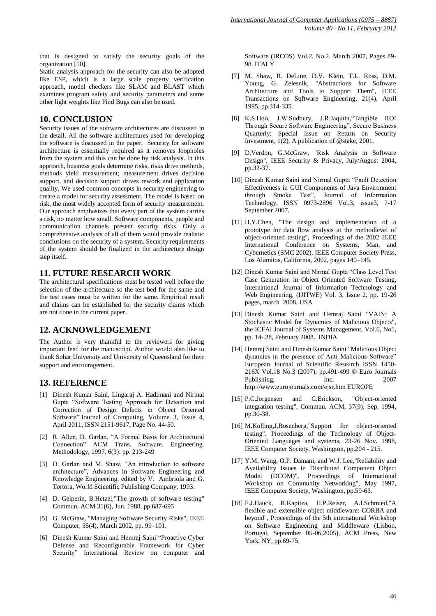that is designed to satisfy the security goals of the organization [50].

Static analysis approach for the security can also be adopted like ESP, which is a large scale property verification approach, model checkers like SLAM and BLAST which examines program safety and security parameters and some other light weights like Find Bugs can also be used.

#### **10. CONCLUSION**

Security issues of the software architectures are discussed in the detail. All the software architectures used for developing the software is discussed in the paper. Security for software architecture is essentially required as it removes loopholes from the system and this can be done by risk analysis. In this approach, business goals determine risks, risks drive methods, methods yield measurement; measurement drives decision support, and decision support drives rework and application quality. We used common concepts in security engineering to create a model for security assessment. The model is based on risk, the most widely accepted form of security measurement. Our approach emphasizes that every part of the system carries a risk, no matter how small. Software components, people and communication channels present security risks. Only a comprehensive analysis of all of them would provide realistic conclusions on the security of a system. Security requirements of the system should be finalized in the architecture design step itself.

## **11. FUTURE RESEARCH WORK**

The architectural specifications must be tested well before the selection of the architecture so the test bed for the same and the test cases must be written for the same. Empirical result and claims can be established for the security claims which are not done in the current paper.

## **12. ACKNOWLEDGEMENT**

The Author is very thankful to the reviewers for giving important feed for the manuscript. Author would also like to thank Sohar University and University of Queensland for their support and encouragement.

## **13. REFERENCE**

- [1] Dinesh Kumar Saini, Lingaraj A. Hadimani and Nirmal Gupta "Software Testing Approach for Detection and Correction of Design Defects in Object Oriented Software" Journal of Computing, Volume 3, Issue 4, April 2011, ISSN 2151-9617, Page No. 44-50.
- [2] R. Allen, D. Garlan, "A Formal Basis for Architectural Connection" ACM Trans. Software. Engineering. Methodology, 1997. 6(3): pp. 213-249
- [3] D. Garlan and M. Shaw, "An introduction to software architecture", Advances in Software Engineering and Knowledge Engineering*,* edited by V. Ambriola and G. Tortora, World Scientific Publishing Company, 1993.
- [4] D. Gelperin, B.Hetzel,"The growth of software testing" Commun. ACM 31(6), Jun. 1988, pp.687-695
- [5] G. McGraw, "Managing Software Security Risks", IEEE Computer, 35(4), March 2002, pp. 99–101.
- [6] Dinesh Kumar Saini and Hemraj Saini "Proactive Cyber Defense and Reconfigurable Framework for Cyber Security" International Review on computer and

Software (IRCOS) Vol.2. No.2. March 2007, Pages 89- 98. ITALY

- [7] M. Shaw, R. DeLine, D.V. Klein, T.L. Ross, D.M. Young, G. Zelesnik, "Abstractions for Software Architecture and Tools to Support Them", IEEE Transactions on Sqftware Engineering, 21(4), April 1995, pp.314-335.
- [8] K.S.Hoo, J.W.Sudbury, J.R.Jaquith, 'Tangible ROI Through Secure Software Engineering", Secure Business Quarterly: Special Issue on Return on Security Investment, 1(2), A publication of @stake, 2001.
- [9] D.Verdon, G.McGraw, "Risk Analysis in Software Design", IEEE Security & Privacy, July/August 2004, pp.32-37.
- [10] Dinesh Kumar Saini and Nirmal Gupta "Fault Detection Effectiveness in GUI Components of Java Environment through Smoke Test", Journal of Information Technology, ISSN 0973-2896 Vol.3, issue3, 7-17 September 2007.
- [11] H.Y.Chen, "The design and implementation of a prototype for data flow analysis at the methodlevel of object-oriented testing", Proceedings of the 2002 IEEE International Conference on Systems, Man, and Cybernetics (SMC 2002), IEEE Computer Society Press, Los Alamitos, California, 2002, pages 140–145.
- [12] Dinesh Kumar Saini and Nirmal Gupta "Class Level Test Case Generation in Object Oriented Software Testing, International Journal of Information Technology and Web Engineering, (IJITWE) Vol. 3, Issue 2, pp. 19-26 pages, march 2008. USA
- [13] Dinesh Kumar Saini and Hemraj Saini "VAIN: A Stochastic Model for Dynamics of Malicious Objects", the ICFAI Journal of Systems Management, Vol.6, No1, pp. 14- 28, February 2008. INDIA
- [14] Hemraj Saini and Dinesh Kumar Saini "Malicious Object dynamics in the presence of Anti Malicious Software" European Journal of Scientific Research ISSN 1450- 216X Vol.18 No.3 (2007), pp.491-499 © Euro Journals Publishing, Inc. 2007 http://www.eurojournals.com/ejsr.htm EUROPE
- [15] P.C.Jorgensen and C.Erickson, "Object-oriented integration testing", Commun. ACM, 37(9), Sep. 1994, pp.30-38.
- [16] M.Kolling,J.Rosenberg,"Support for object-oriented testing", Proceedings of the Technology of Object-Oriented Languages and systems, 23-26 Nov. 1998, IEEE Computer Society, Washington, pp.204 - 215.
- [17] Y.M. Wang, O.P. Damani, and W.J. Lee,"Reliability and Availability Issues in Distributed Component Object Model (DCOM)", Proceedings of International Workshop on Community Networking", May 1997, IEEE Computer Society, Washington, pp.59-63.
- [18] F.J.Hauck, R.Kapitza, H.P.Reiser, A.I.Schmied,"A flexible and extensible object middleware: CORBA and beyond", Proceedings of the 5th international Workshop on Software Engineering and Middleware (Lisbon, Portugal, September 05-06,2005), ACM Press, New York, NY, pp.69-75.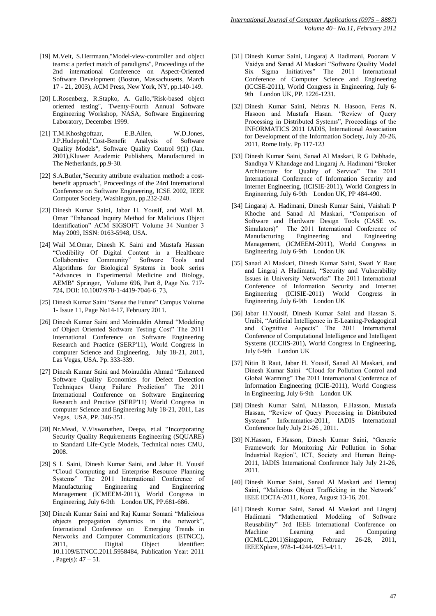- [19] M.Veit, S.Herrmann,"Model-view-controller and object teams: a perfect match of paradigms", Proceedings of the 2nd international Conference on Aspect-Oriented Software Development (Boston, Massachusetts, March 17 - 21, 2003), ACM Press, New York, NY, pp.140-149.
- [20] L.Rosenberg, R.Stapko, A. Gallo,"Risk-based object oriented testing", Twenty-Fourth Annual Software Engineering Workshop, NASA, Software Engineering Laboratory, December 1999.
- [21] T.M.Khoshgoftaar, E.B.Allen, W.D.Jones, J.P.Hudepohl,"Cost-Benefit Analysis of Software Quality Models", Software Quality Control 9(1) (Jan. 2001),Kluwer Academic Publishers, Manufactured in The Netherlands, pp.9-30.
- [22] S.A.Butler,"Security attribute evaluation method: a costbenefit approach", Proceedings of the 24rd International Conference on Software Engineering, ICSE 2002, IEEE Computer Society, Washington, pp.232-240.
- [23] Dinesh Kumar Saini, Jabar H. Yousif, and Wail M. Omar "Enhanced Inquiry Method for Malicious Object" Identification" ACM SIGSOFT Volume 34 Number 3 May 2009, ISSN: 0163-5948, USA.
- [24] Wail M.Omar, Dinesh K. Saini and Mustafa Hassan ―Credibility Of Digital Content in a Healthcare Collaborative Community" Software Tools and Algorithms for Biological Systems in book series "Advances in Experimental Medicine and Biology, AEMB" Springer, Volume 696, Part 8, Page No. 717- 724, DOI: 10.1007/978-1-4419-7046-6\_73,
- [25] Dinesh Kumar Saini "Sense the Future" Campus Volume 1- Issue 11, Page No14-17, February 2011.
- [26] Dinesh Kumar Saini and Moinuddin Ahmad "Modeling of Object Oriented Software Testing Cost" The 2011 International Conference on Software Engineering Research and Practice (SERP'11), World Congress in computer Science and Engineering, July 18-21, 2011, Las Vegas, USA. Pp. 333-339.
- [27] Dinesh Kumar Saini and Moinuddin Ahmad "Enhanced Software Quality Economics for Defect Detection Techniques Using Failure Prediction" The 2011 International Conference on Software Engineering Research and Practice (SERP'11) World Congress in computer Science and Engineering July 18-21, 2011, Las Vegas, USA, PP. 346-351.
- [28] Nr.Mead, V.Viswanathen, Deepa, et.al "Incorporating" Security Quality Requirements Engineering (SQUARE) to Standard Life-Cycle Models, Technical notes CMU, 2008.
- [29] S L Saini, Dinesh Kumar Saini, and Jabar H. Yousif ―Cloud Computing and Enterprise Resource Planning Systems" The 2011 International Conference of Manufacturing Engineering and Engineering Management (ICMEEM-2011), World Congress in Engineering, July 6-9th London UK, PP.681-686.
- [30] Dinesh Kumar Saini and Raj Kumar Somani "Malicious objects propagation dynamics in the network", International Conference on Emerging Trends in Networks and Computer Communications (ETNCC), 2011, Digital Object Identifier: 10.1109/ETNCC.2011.5958484, Publication Year: 2011 , Page(s):  $47 - 51$ .
- [31] Dinesh Kumar Saini, Lingaraj A Hadimani, Poonam V Vaidya and Sanad Al Maskari "Software Quality Model Six Sigma Initiatives" The 2011 International Conference of Computer Science and Engineering (ICCSE-2011), World Congress in Engineering, July 6- 9th London UK, PP. 1226-1231.
- [32] Dinesh Kumar Saini, Nebras N. Hasoon, Feras N. Hasoon and Mustafa Hasan. "Review of Query Processing in Distributed Systems", Proceedings of the INFORMATICS 2011 IADIS, International Association for Development of the Information Society, July 20-26, 2011, Rome Italy. Pp 117-123
- [33] Dinesh Kumar Saini, Sanad Al Maskari, R G Dabhade, Sandhya V Khandage and Lingaraj A. Hadimani "Broker Architecture for Quality of Service" The 2011 International Conference of Information Security and Internet Engineering, (ICISIE-2011), World Congress in Engineering, July 6-9th London UK, PP 484-490.
- [34] Lingaraj A. Hadimani, Dinesh Kumar Saini, Vaishali P Khoche and Sanad Al Maskari, "Comparison of Software and Hardware Design Tools (CASE vs. Simulators)" The 2011 International Conference of Manufacturing Engineering and Engineering Management, (ICMEEM-2011), World Congress in Engineering, July 6-9th London UK
- [35] Sanad Al Maskari, Dinesh Kumar Saini, Swati Y Raut and Lingraj A Hadimani, "Security and Vulnerability Issues in University Networks" The 2011 International Conference of Information Security and Internet Engineering (ICISIE-2011) World Congress in Engineering, July 6-9th London UK
- [36] Jabar H.Yousif, Dinesh Kumar Saini and Hassan S. Uraibi, "Artificial Intelligence in E-Leaning-Pedagogical and Cognitive Aspects" The 2011 International Conference of Computational Intelligence and Intelligent Systems (ICCIIS-201), World Congress in Engineering, July 6-9th London UK
- [37] Nitin B Raut, Jabar H. Yousif, Sanad Al Maskari, and Dinesh Kumar Saini "Cloud for Pollution Control and Global Warming" The 2011 International Conference of Information Engineering (ICIE-2011), World Congress in Engineering, July 6-9th London UK
- [38] Dinesh Kumar Saini, N.Hasson, F.Hasson, Mustafa Hassan, "Review of Query Processing in Distributed Systems‖ Informmatics-2011, IADIS International Conference Italy July 21-26 , 2011.
- [39] N.Hasson, F.Hasson, Dinesh Kumar Saini, "Generic Framework for Monitoring Air Pollution in Sohar Industrial Region", ICT, Society and Human Being-2011, IADIS International Conference Italy July 21-26, 2011.
- [40] Dinesh Kumar Saini, Sanad Al Maskari and Hemraj Saini, "Malicious Object Trafficking in the Network" IEEE IDCTA-2011, Korea, August 13-16, 201.
- [41] Dinesh Kumar Saini, Sanad Al Maskari and Lingraj Hadimani "Mathematical Modeling of Software Reusability" 3rd IEEE International Conference on Machine Learning and Computing (ICMLC,2011)Singapore, February 26-28, 2011, IEEEXplore, 978-1-4244-9253-4/11.